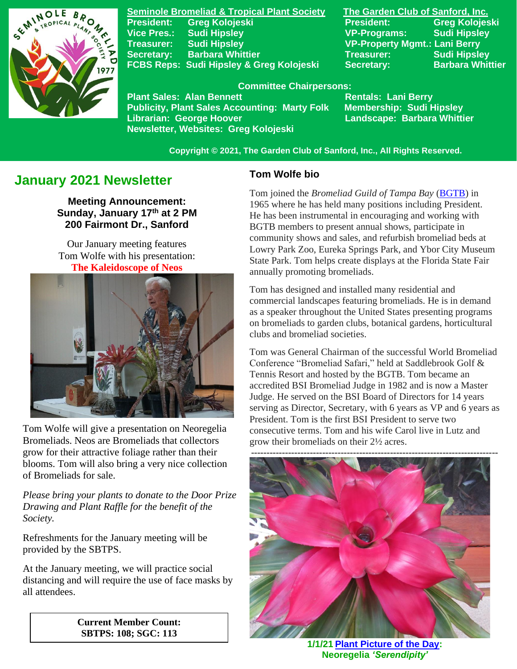

**Seminole Bromeliad & Tropical Plant Society The Garden Club of Sanford, Inc. Vice Pres.: Sudi Hipsley VP-Programs: Sudi Hipsley Treasurer: Sudi Hipsley VP-Property Mgmt.: Lani Berry Secretary:** Barbara Whittier **Network Treasurer:** Sudi Hipsley **FCBS Reps: Sudi Hipsley & Greg Kolojeski Secretary: Barbara Whittier** 

**President: Greg Kolojeski President: Greg Kolojeski** 

#### **Committee Chairpersons:**

Plant Sales: Alan Bennett<br>Publicity, Plant Sales Accounting: Marty Folk Membership: Sudi Hipsley **Publicity, Plant Sales Accounting: Marty Folk Librarian: George Hoover Landscape: Barbara Whittier Newsletter, Websites: Greg Kolojeski**

 **Copyright © 2021, The Garden Club of Sanford, Inc., All Rights Reserved.**

# **January 2021 Newsletter**

**Meeting Announcement: Sunday, January 17 th at 2 PM 200 Fairmont Dr., Sanford**

Our January meeting features Tom Wolfe with his presentation: **The Kaleidoscope of Neos**



 Tom Wolfe will give a presentation on Neoregelia Bromeliads. Neos are Bromeliads that collectors grow for their attractive foliage rather than their blooms. Tom will also bring a very nice collection of Bromeliads for sale.

*Please bring your plants to donate to the Door Prize Drawing and Plant Raffle for the benefit of the Society.*

Refreshments for the January meeting will be provided by the SBTPS.

At the January meeting, we will practice social distancing and will require the use of face masks by all attendees.

> **Current Member Count: SBTPS: 108; SGC: 113**

#### **Tom Wolfe bio**

Tom joined the *Bromeliad Guild of Tampa Bay* [\(BGTB\)](http://www.bromeliadguildoftampabay.org/) in 1965 where he has held many positions including President. He has been instrumental in encouraging and working with BGTB members to present annual shows, participate in community shows and sales, and refurbish bromeliad beds at Lowry Park Zoo, Eureka Springs Park, and Ybor City Museum State Park. Tom helps create displays at the Florida State Fair annually promoting bromeliads.

Tom has designed and installed many residential and commercial landscapes featuring bromeliads. He is in demand as a speaker throughout the United States presenting programs on bromeliads to garden clubs, botanical gardens, horticultural clubs and bromeliad societies.

Tom was General Chairman of the successful World Bromeliad Conference "Bromeliad Safari," held at Saddlebrook Golf & Tennis Resort and hosted by the BGTB. Tom became an accredited BSI Bromeliad Judge in 1982 and is now a Master Judge. He served on the BSI Board of Directors for 14 years serving as Director, Secretary, with 6 years as VP and 6 years as President. Tom is the first BSI President to serve two consecutive terms. Tom and his wife Carol live in Lutz and grow their bromeliads on their 2½ acres.



**1/1/21 [Plant Picture of the Day:](https://www.facebook.com/SeminoleBromeliadSociety/) Neoregelia** *'Serendipity'*